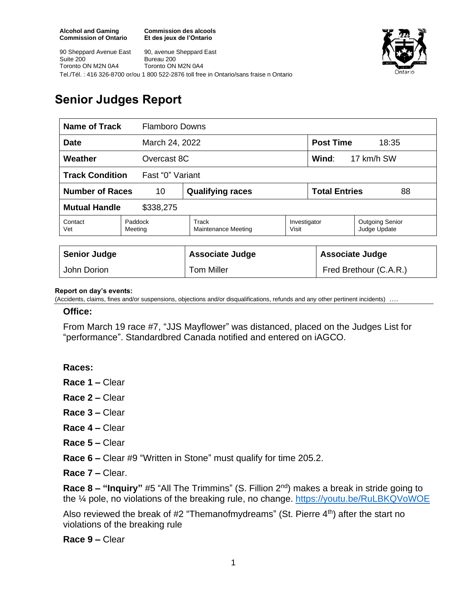**Commission des alcools Et des jeux de l'Ontario**

90 Sheppard Avenue East Suite 200 Toronto ON M2N 0A4 90, avenue Sheppard East Bureau 200 Toronto ON M2N 0A4 Tel./Tél. : 416 326-8700 or/ou 1 800 522-2876 toll free in Ontario/sans fraise n Ontario



## **Senior Judges Report**

| <b>Name of Track</b>                       |                    | <b>Flamboro Downs</b>               |                       |                            |                                        |
|--------------------------------------------|--------------------|-------------------------------------|-----------------------|----------------------------|----------------------------------------|
| <b>Date</b><br>March 24, 2022              |                    |                                     |                       | <b>Post Time</b><br>18:35  |                                        |
| Weather<br>Overcast 8C                     |                    |                                     |                       | Wind:<br>17 km/h SW        |                                        |
| <b>Track Condition</b><br>Fast "0" Variant |                    |                                     |                       |                            |                                        |
| <b>Number of Races</b><br>10               |                    | <b>Qualifying races</b>             |                       | <b>Total Entries</b><br>88 |                                        |
| <b>Mutual Handle</b><br>\$338,275          |                    |                                     |                       |                            |                                        |
| Contact<br>Vet                             | Paddock<br>Meeting | Track<br><b>Maintenance Meeting</b> | Investigator<br>Visit |                            | <b>Outgoing Senior</b><br>Judge Update |
|                                            |                    |                                     |                       |                            |                                        |
| <b>Senior Judge</b>                        |                    | <b>Associate Judge</b>              |                       | <b>Associate Judge</b>     |                                        |
| John Dorion                                |                    | <b>Tom Miller</b>                   |                       | Fred Brethour (C.A.R.)     |                                        |

## **Report on day's events:**

(Accidents, claims, fines and/or suspensions, objections and/or disqualifications, refunds and any other pertinent incidents)

## **Office:**

From March 19 race #7, "JJS Mayflower" was distanced, placed on the Judges List for "performance". Standardbred Canada notified and entered on iAGCO.

**Races:** 

**Race 1 –** Clear

**Race 2 –** Clear

- **Race 3 –** Clear
- **Race 4 –** Clear
- **Race 5 –** Clear

**Race 6 –** Clear #9 "Written in Stone" must qualify for time 205.2.

**Race 7 –** Clear.

**Race 8 – "Inquiry"** #5 "All The Trimmins" (S. Fillion 2nd) makes a break in stride going to the 1/4 pole, no violations of the breaking rule, no change. <https://youtu.be/RuLBKQVoWOE>

Also reviewed the break of  $#2$  "Themanofmydreams" (St. Pierre  $4<sup>th</sup>$ ) after the start no violations of the breaking rule

**Race 9 –** Clear